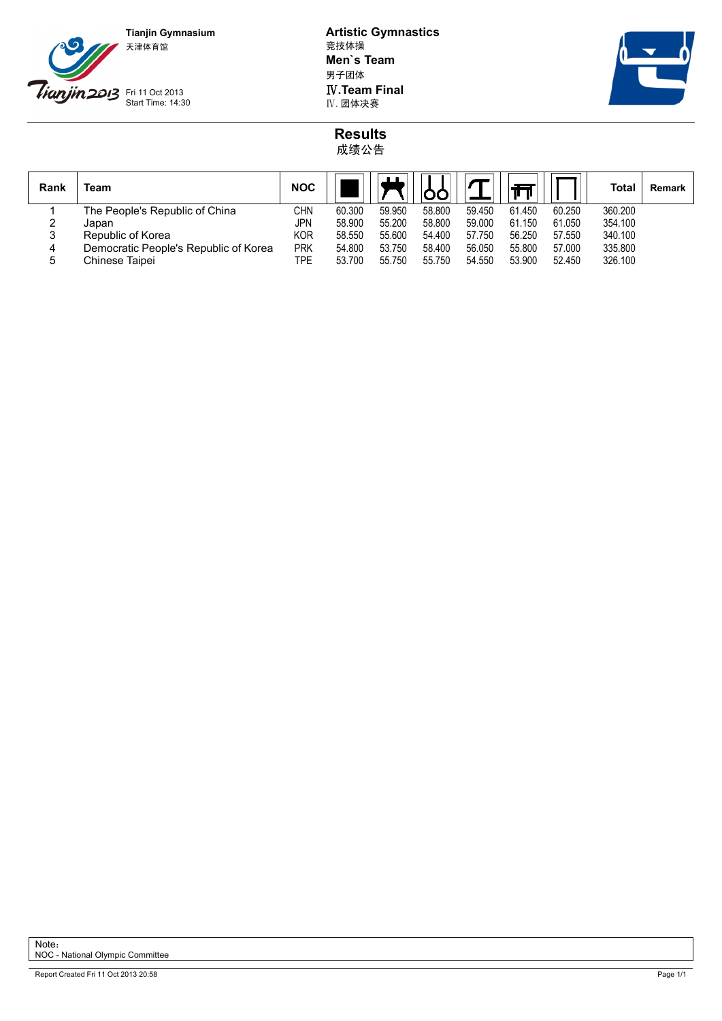

**Tianjin Gymnasium Artistic Gymnastics Men`s Team** 男子团体 **IV.Team Final**<br>IV. 团体决赛



## **Results** 成绩公告

| Rank   | Team                                  | <b>NOC</b> |        |        |        |        |        |        | Total   | Remark |
|--------|---------------------------------------|------------|--------|--------|--------|--------|--------|--------|---------|--------|
|        | The People's Republic of China        | CHN        | 60.300 | 59.950 | 58.800 | 59.450 | 61.450 | 60.250 | 360.200 |        |
| ∼      | Japan                                 | JPN        | 58.900 | 55.200 | 58.800 | 59.000 | 61.150 | 61.050 | 354.100 |        |
| ঽ<br>ັ | Republic of Korea                     | KOR        | 58.550 | 55.600 | 54.400 | 57.750 | 56.250 | 57.550 | 340.100 |        |
| 4      | Democratic People's Republic of Korea | <b>PRK</b> | 54.800 | 53.750 | 58.400 | 56.050 | 55.800 | 57.000 | 335.800 |        |
| 5      | Chinese Taipei                        | TPE        | 53.700 | 55.750 | 55.750 | 54.550 | 53.900 | 52.450 | 326.100 |        |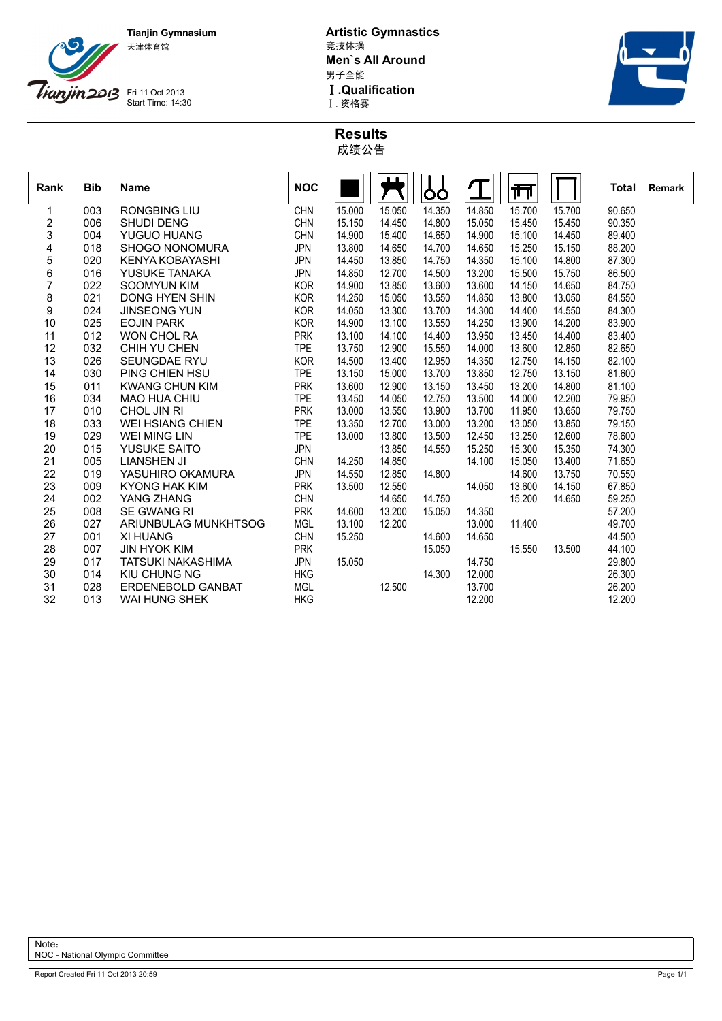

**Tianjin Gymnasium Artistic Gymnastics Men`s All Around** 男子全能 **I .Qualification**<br>I . 资格赛



**Results** 成绩公告

| Rank | <b>Bib</b> | <b>Name</b>              | <b>NOC</b> |        |        | <b>OO</b> |        | 帀      |        | <b>Total</b> | Remark |
|------|------------|--------------------------|------------|--------|--------|-----------|--------|--------|--------|--------------|--------|
| 1    | 003        | <b>RONGBING LIU</b>      | CHN        | 15.000 | 15.050 | 14.350    | 14.850 | 15.700 | 15.700 | 90.650       |        |
| 2    | 006        | <b>SHUDI DENG</b>        | <b>CHN</b> | 15.150 | 14.450 | 14.800    | 15.050 | 15.450 | 15.450 | 90.350       |        |
| 3    | 004        | <b>YUGUO HUANG</b>       | CHN        | 14.900 | 15.400 | 14.650    | 14.900 | 15.100 | 14.450 | 89.400       |        |
| 4    | 018        | <b>SHOGO NONOMURA</b>    | <b>JPN</b> | 13.800 | 14.650 | 14.700    | 14.650 | 15.250 | 15.150 | 88.200       |        |
| 5    | 020        | KENYA KOBAYASHI          | <b>JPN</b> | 14.450 | 13.850 | 14.750    | 14.350 | 15.100 | 14.800 | 87.300       |        |
| 6    | 016        | YUSUKE TANAKA            | <b>JPN</b> | 14.850 | 12.700 | 14.500    | 13.200 | 15.500 | 15.750 | 86.500       |        |
| 7    | 022        | <b>SOOMYUN KIM</b>       | <b>KOR</b> | 14.900 | 13.850 | 13.600    | 13.600 | 14.150 | 14.650 | 84.750       |        |
| 8    | 021        | <b>DONG HYEN SHIN</b>    | <b>KOR</b> | 14.250 | 15.050 | 13.550    | 14.850 | 13.800 | 13.050 | 84.550       |        |
| 9    | 024        | <b>JINSEONG YUN</b>      | <b>KOR</b> | 14.050 | 13.300 | 13.700    | 14.300 | 14.400 | 14.550 | 84.300       |        |
| 10   | 025        | <b>EOJIN PARK</b>        | <b>KOR</b> | 14.900 | 13.100 | 13.550    | 14.250 | 13.900 | 14.200 | 83.900       |        |
| 11   | 012        | <b>WON CHOL RA</b>       | <b>PRK</b> | 13.100 | 14.100 | 14.400    | 13.950 | 13.450 | 14.400 | 83.400       |        |
| 12   | 032        | CHIH YU CHEN             | <b>TPE</b> | 13.750 | 12.900 | 15.550    | 14.000 | 13.600 | 12.850 | 82.650       |        |
| 13   | 026        | SEUNGDAE RYU             | <b>KOR</b> | 14.500 | 13.400 | 12.950    | 14.350 | 12.750 | 14.150 | 82.100       |        |
| 14   | 030        | PING CHIEN HSU           | <b>TPE</b> | 13.150 | 15.000 | 13.700    | 13.850 | 12.750 | 13.150 | 81.600       |        |
| 15   | 011        | <b>KWANG CHUN KIM</b>    | <b>PRK</b> | 13.600 | 12.900 | 13.150    | 13.450 | 13.200 | 14.800 | 81.100       |        |
| 16   | 034        | <b>MAO HUA CHIU</b>      | <b>TPE</b> | 13.450 | 14.050 | 12.750    | 13.500 | 14.000 | 12.200 | 79.950       |        |
| 17   | 010        | CHOL JIN RI              | <b>PRK</b> | 13.000 | 13.550 | 13.900    | 13.700 | 11.950 | 13.650 | 79.750       |        |
| 18   | 033        | <b>WEI HSIANG CHIEN</b>  | <b>TPE</b> | 13.350 | 12.700 | 13.000    | 13.200 | 13.050 | 13.850 | 79.150       |        |
| 19   | 029        | WEI MING LIN             | <b>TPE</b> | 13.000 | 13.800 | 13.500    | 12.450 | 13.250 | 12.600 | 78.600       |        |
| 20   | 015        | <b>YUSUKE SAITO</b>      | <b>JPN</b> |        | 13.850 | 14.550    | 15.250 | 15.300 | 15.350 | 74.300       |        |
| 21   | 005        | LIANSHEN JI              | <b>CHN</b> | 14.250 | 14.850 |           | 14.100 | 15.050 | 13.400 | 71.650       |        |
| 22   | 019        | YASUHIRO OKAMURA         | <b>JPN</b> | 14.550 | 12.850 | 14.800    |        | 14.600 | 13.750 | 70.550       |        |
| 23   | 009        | <b>KYONG HAK KIM</b>     | <b>PRK</b> | 13.500 | 12.550 |           | 14.050 | 13.600 | 14.150 | 67.850       |        |
| 24   | 002        | YANG ZHANG               | <b>CHN</b> |        | 14.650 | 14.750    |        | 15.200 | 14.650 | 59.250       |        |
| 25   | 008        | <b>SE GWANG RI</b>       | <b>PRK</b> | 14.600 | 13.200 | 15.050    | 14.350 |        |        | 57.200       |        |
| 26   | 027        | ARIUNBULAG MUNKHTSOG     | <b>MGL</b> | 13.100 | 12.200 |           | 13.000 | 11.400 |        | 49.700       |        |
| 27   | 001        | <b>XI HUANG</b>          | <b>CHN</b> | 15.250 |        | 14.600    | 14.650 |        |        | 44.500       |        |
| 28   | 007        | <b>JIN HYOK KIM</b>      | <b>PRK</b> |        |        | 15.050    |        | 15.550 | 13.500 | 44.100       |        |
| 29   | 017        | TATSUKI NAKASHIMA        | <b>JPN</b> | 15.050 |        |           | 14.750 |        |        | 29.800       |        |
| 30   | 014        | <b>KIU CHUNG NG</b>      | <b>HKG</b> |        |        | 14.300    | 12.000 |        |        | 26.300       |        |
| 31   | 028        | <b>ERDENEBOLD GANBAT</b> | <b>MGL</b> |        | 12.500 |           | 13.700 |        |        | 26.200       |        |
| 32   | 013        | WAI HUNG SHEK            | <b>HKG</b> |        |        |           | 12.200 |        |        | 12.200       |        |
|      |            |                          |            |        |        |           |        |        |        |              |        |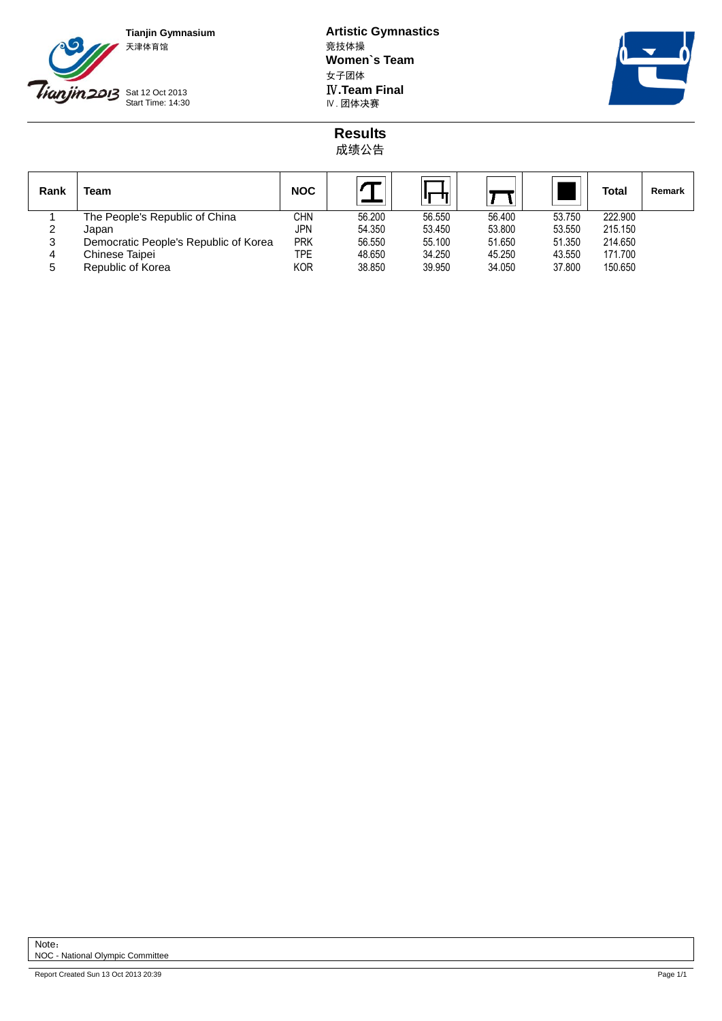

**Tianjin Gymnasium Artistic Gymnastics Women`s Team** 女子团体 **IV.Team Final**<br>Ⅳ. 团体决赛



**Results** 成绩公告

| Rank | <b>Team</b>                           | <b>NOC</b> |        |        |        |        | Total   | Remark |
|------|---------------------------------------|------------|--------|--------|--------|--------|---------|--------|
|      | The People's Republic of China        | <b>CHN</b> | 56.200 | 56.550 | 56.400 | 53.750 | 222.900 |        |
| 2    | Japan                                 | <b>JPN</b> | 54.350 | 53.450 | 53.800 | 53.550 | 215.150 |        |
| 3    | Democratic People's Republic of Korea | <b>PRK</b> | 56.550 | 55.100 | 51.650 | 51.350 | 214.650 |        |
| 4    | Chinese Taipei                        | <b>TPE</b> | 48.650 | 34.250 | 45.250 | 43.550 | 171.700 |        |
| 5    | Republic of Korea                     | <b>KOR</b> | 38.850 | 39.950 | 34.050 | 37,800 | 150.650 |        |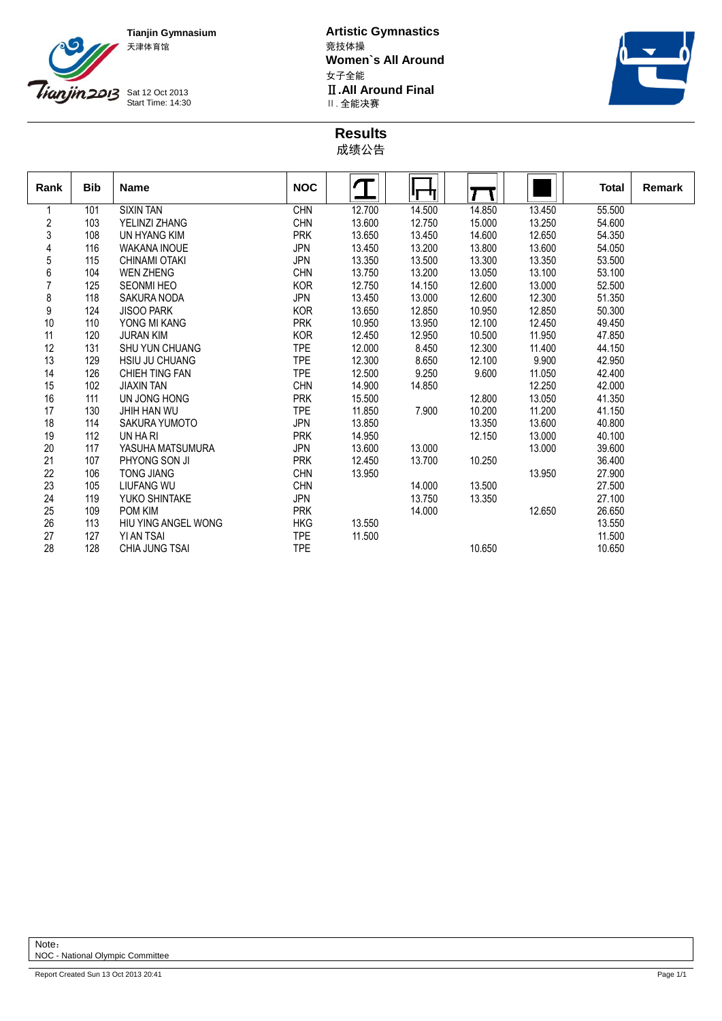

**Tianjin Gymnasium Artistic Gymnastics Women`s All Around** 女子全能 **II.All Around Final**<br>Ⅱ. 全能决赛



**Results** 成绩公告

| Rank           | <b>Bib</b> | <b>Name</b>           | <b>NOC</b> |        | Ч      |        |        | <b>Total</b> | <b>Remark</b> |
|----------------|------------|-----------------------|------------|--------|--------|--------|--------|--------------|---------------|
|                | 101        | <b>SIXIN TAN</b>      | <b>CHN</b> | 12.700 | 14.500 | 14.850 | 13.450 | 55.500       |               |
| $\overline{c}$ | 103        | YELINZI ZHANG         | <b>CHN</b> | 13.600 | 12.750 | 15.000 | 13.250 | 54.600       |               |
| $\sqrt{3}$     | 108        | UN HYANG KIM          | <b>PRK</b> | 13.650 | 13.450 | 14.600 | 12.650 | 54.350       |               |
| 4              | 116        | <b>WAKANA INOUE</b>   | <b>JPN</b> | 13.450 | 13.200 | 13.800 | 13.600 | 54.050       |               |
| 5              | 115        | CHINAMI OTAKI         | <b>JPN</b> | 13.350 | 13.500 | 13.300 | 13.350 | 53.500       |               |
| 6              | 104        | <b>WEN ZHENG</b>      | <b>CHN</b> | 13.750 | 13.200 | 13.050 | 13.100 | 53.100       |               |
| $\overline{7}$ | 125        | <b>SEONMI HEO</b>     | <b>KOR</b> | 12.750 | 14.150 | 12.600 | 13.000 | 52.500       |               |
| $\bf 8$        | 118        | SAKURA NODA           | <b>JPN</b> | 13.450 | 13.000 | 12.600 | 12.300 | 51.350       |               |
| 9              | 124        | <b>JISOO PARK</b>     | <b>KOR</b> | 13.650 | 12.850 | 10.950 | 12.850 | 50.300       |               |
| 10             | 110        | YONG MI KANG          | <b>PRK</b> | 10.950 | 13.950 | 12.100 | 12.450 | 49.450       |               |
| 11             | 120        | <b>JURAN KIM</b>      | <b>KOR</b> | 12.450 | 12.950 | 10.500 | 11.950 | 47.850       |               |
| 12             | 131        | <b>SHU YUN CHUANG</b> | <b>TPE</b> | 12.000 | 8.450  | 12.300 | 11.400 | 44.150       |               |
| 13             | 129        | <b>HSIU JU CHUANG</b> | <b>TPE</b> | 12.300 | 8.650  | 12.100 | 9.900  | 42.950       |               |
| 14             | 126        | CHIEH TING FAN        | <b>TPE</b> | 12.500 | 9.250  | 9.600  | 11.050 | 42.400       |               |
| 15             | 102        | <b>JIAXIN TAN</b>     | <b>CHN</b> | 14.900 | 14.850 |        | 12.250 | 42.000       |               |
| 16             | 111        | UN JONG HONG          | <b>PRK</b> | 15.500 |        | 12.800 | 13.050 | 41.350       |               |
| 17             | 130        | JHIH HAN WU           | <b>TPE</b> | 11.850 | 7.900  | 10.200 | 11.200 | 41.150       |               |
| 18             | 114        | SAKURA YUMOTO         | <b>JPN</b> | 13.850 |        | 13.350 | 13.600 | 40.800       |               |
| 19             | 112        | UN HA RI              | <b>PRK</b> | 14.950 |        | 12.150 | 13.000 | 40.100       |               |
| 20             | 117        | YASUHA MATSUMURA      | <b>JPN</b> | 13.600 | 13.000 |        | 13.000 | 39.600       |               |
| 21             | 107        | PHYONG SON JI         | <b>PRK</b> | 12.450 | 13.700 | 10.250 |        | 36.400       |               |
| 22             | 106        | TONG JIANG            | <b>CHN</b> | 13.950 |        |        | 13.950 | 27.900       |               |
| 23             | 105        | <b>LIUFANG WU</b>     | <b>CHN</b> |        | 14.000 | 13.500 |        | 27.500       |               |
| 24             | 119        | YUKO SHINTAKE         | <b>JPN</b> |        | 13.750 | 13.350 |        | 27.100       |               |
| 25             | 109        | POM KIM               | <b>PRK</b> |        | 14.000 |        | 12.650 | 26.650       |               |
| 26             | 113        | HIU YING ANGEL WONG   | <b>HKG</b> | 13.550 |        |        |        | 13.550       |               |
| 27             | 127        | YI AN TSAI            | <b>TPE</b> | 11.500 |        |        |        | 11.500       |               |
| 28             | 128        | <b>CHIA JUNG TSAI</b> | <b>TPE</b> |        |        | 10.650 |        | 10.650       |               |

## Note: NOC - National Olympic Committee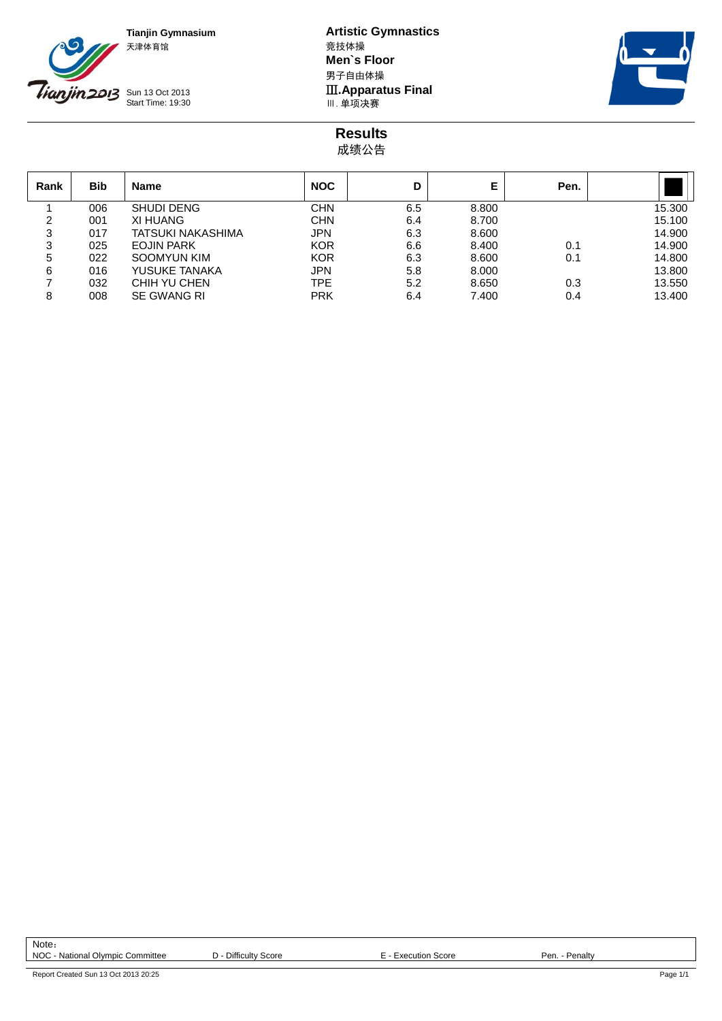

**Tianjin Gymnasium Artistic Gymnastics Men`s Floor** 男子自由体操 **III.Apparatus Final**<br>Ⅲ. 单项决赛



**Results** 成绩公告

| Rank | <b>Bib</b> | <b>Name</b>       | <b>NOC</b> | D   | Е     | Pen. |        |
|------|------------|-------------------|------------|-----|-------|------|--------|
|      | 006        | SHUDI DENG        | CHN        | 6.5 | 8.800 |      | 15.300 |
| 2    | 001        | XI HUANG          | <b>CHN</b> | 6.4 | 8.700 |      | 15.100 |
| 3    | 017        | TATSUKI NAKASHIMA | <b>JPN</b> | 6.3 | 8.600 |      | 14.900 |
| 3    | 025        | <b>EOJIN PARK</b> | <b>KOR</b> | 6.6 | 8.400 | 0.1  | 14.900 |
| 5    | 022        | SOOMYUN KIM       | <b>KOR</b> | 6.3 | 8.600 | 0.1  | 14.800 |
| 6    | 016        | YUSUKE TANAKA     | <b>JPN</b> | 5.8 | 8.000 |      | 13.800 |
|      | 032        | CHIH YU CHEN      | TPE        | 5.2 | 8.650 | 0.3  | 13.550 |
| 8    | 008        | SE GWANG RI       | <b>PRK</b> | 6.4 | 7.400 | 0.4  | 13.400 |

Note: NOC - National Olympic Committee  $D$  - Difficulty Score E - Execution Score Pen. - Penalty

Report Created Sun 13 Oct 2013 20:25 Page 1/1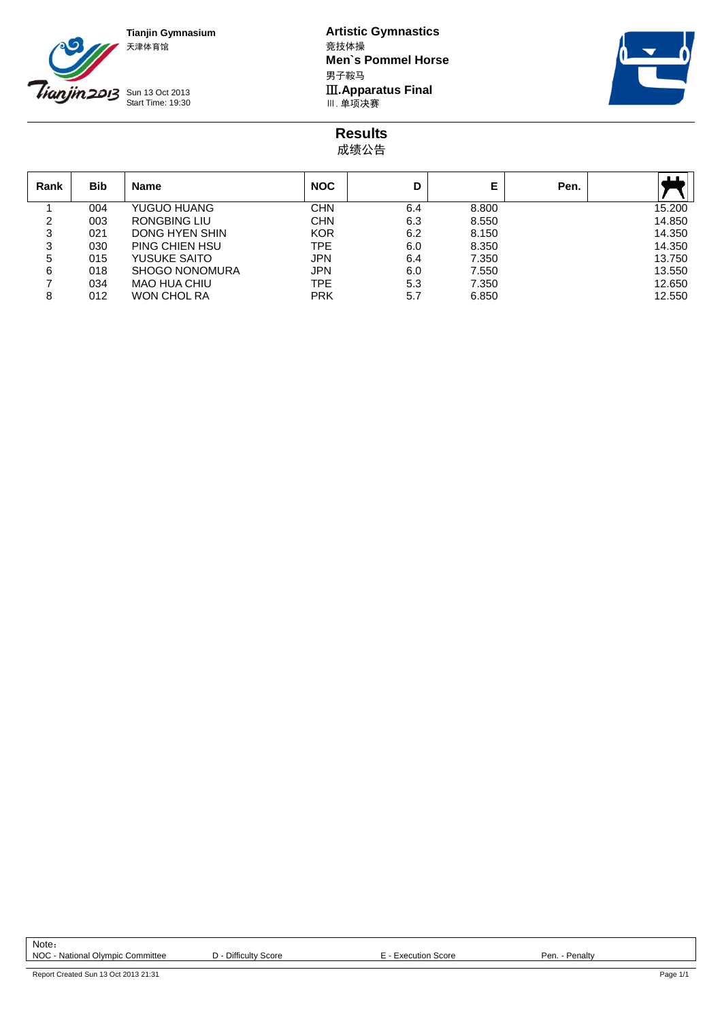

**Tianjin Gymnasium Artistic Gymnastics Men`s Pommel Horse** 男子鞍马 **III.Apparatus Final**<br>Ⅲ. 单项决赛



**Results** 成绩公告

| Rank | <b>Bib</b> | <b>Name</b>         | <b>NOC</b> | D   | E     | Pen. | . .    |
|------|------------|---------------------|------------|-----|-------|------|--------|
|      | 004        | YUGUO HUANG         | <b>CHN</b> | 6.4 | 8.800 |      | 15.200 |
| 2    | 003        | RONGBING LIU        | <b>CHN</b> | 6.3 | 8.550 |      | 14.850 |
| 3    | 021        | DONG HYEN SHIN      | <b>KOR</b> | 6.2 | 8.150 |      | 14.350 |
| 3    | 030        | PING CHIEN HSU      | <b>TPE</b> | 6.0 | 8.350 |      | 14.350 |
| 5    | 015        | YUSUKE SAITO        | <b>JPN</b> | 6.4 | 7.350 |      | 13.750 |
| 6    | 018        | SHOGO NONOMURA      | <b>JPN</b> | 6.0 | 7.550 |      | 13.550 |
|      | 034        | <b>MAO HUA CHIU</b> | TPE        | 5.3 | 7.350 |      | 12.650 |
| 8    | 012        | <b>WON CHOL RA</b>  | <b>PRK</b> | 5.7 | 6.850 |      | 12.550 |

Note: NOC - National Olympic Committee  $D$  - Difficulty Score E - Execution Score Pen. - Penalty

Report Created Sun 13 Oct 2013 21:31 Page 1/1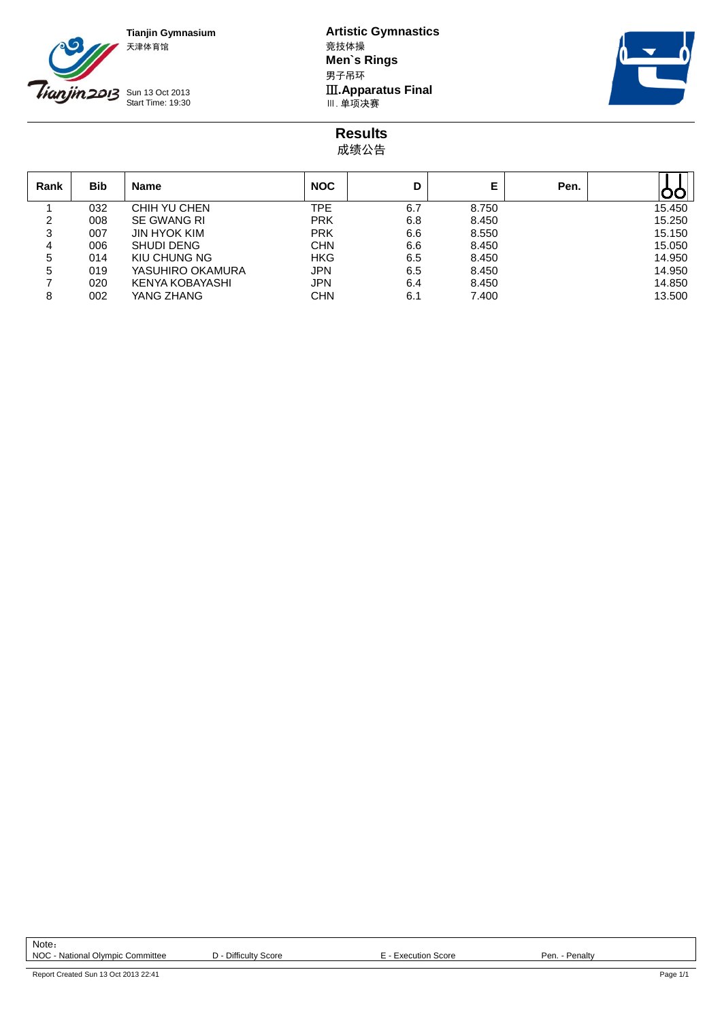

**Tianjin Gymnasium Artistic Gymnastics Men`s Rings** 男子吊环 **III. Apparatus Final**<br>Ⅲ. 单项决赛



**Results** 成绩公告

| Rank | <b>Bib</b> | <b>Name</b>         | <b>NOC</b> | D   | E     | Pen. |        |
|------|------------|---------------------|------------|-----|-------|------|--------|
|      | 032        | CHIH YU CHEN        | TPE        | 6.7 | 8.750 |      | 15.450 |
| 2    | 008        | SE GWANG RI         | <b>PRK</b> | 6.8 | 8.450 |      | 15.250 |
| 3    | 007        | <b>JIN HYOK KIM</b> | <b>PRK</b> | 6.6 | 8.550 |      | 15.150 |
| 4    | 006        | <b>SHUDI DENG</b>   | <b>CHN</b> | 6.6 | 8.450 |      | 15.050 |
| 5    | 014        | KIU CHUNG NG        | HKG        | 6.5 | 8.450 |      | 14.950 |
| 5    | 019        | YASUHIRO OKAMURA    | <b>JPN</b> | 6.5 | 8.450 |      | 14.950 |
|      | 020        | KENYA KOBAYASHI     | <b>JPN</b> | 6.4 | 8.450 |      | 14.850 |
| 8    | 002        | YANG ZHANG          | <b>CHN</b> | 6.1 | 7.400 |      | 13.500 |

Note: NOC - National Olympic Committee  $D$  - Difficulty Score E - Execution Score Pen. - Penalty

Report Created Sun 13 Oct 2013 22:41 Page 1/1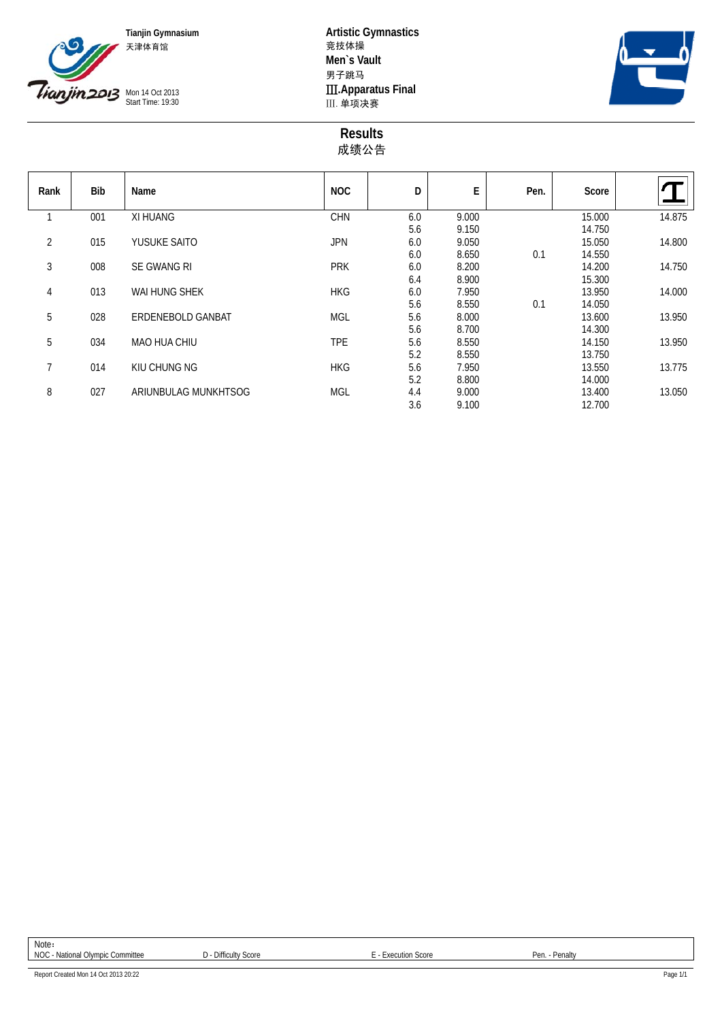



**Tianjin Gymnasium Artistic Gymnastics Men`s Vault** 男子跳马 **III. Apparatus Final**<br>III. 单项决赛



## **Results** 成绩公告

| Rank           | Bib | Name                 | <b>NOC</b> | D   | E     | Pen. | Score  |        |
|----------------|-----|----------------------|------------|-----|-------|------|--------|--------|
| $\overline{ }$ | 001 | XI HUANG             | <b>CHN</b> | 6.0 | 9.000 |      | 15.000 | 14.875 |
|                |     |                      |            | 5.6 | 9.150 |      | 14.750 |        |
| $\overline{2}$ | 015 | YUSUKE SAITO         | <b>JPN</b> | 6.0 | 9.050 |      | 15.050 | 14.800 |
|                |     |                      |            | 6.0 | 8.650 | 0.1  | 14.550 |        |
| 3              | 008 | SE GWANG RI          | <b>PRK</b> | 6.0 | 8.200 |      | 14.200 | 14.750 |
|                |     |                      |            | 6.4 | 8.900 |      | 15.300 |        |
| 4              | 013 | WAI HUNG SHEK        | <b>HKG</b> | 6.0 | 7.950 |      | 13.950 | 14.000 |
|                |     |                      |            | 5.6 | 8.550 | 0.1  | 14.050 |        |
| 5              | 028 | ERDENEBOLD GANBAT    | <b>MGL</b> | 5.6 | 8.000 |      | 13.600 | 13.950 |
|                |     |                      |            | 5.6 | 8.700 |      | 14.300 |        |
| 5              | 034 | <b>MAO HUA CHIU</b>  | <b>TPE</b> | 5.6 | 8.550 |      | 14.150 | 13.950 |
|                |     |                      |            | 5.2 | 8.550 |      | 13.750 |        |
| 7              | 014 | KIU CHUNG NG         | <b>HKG</b> | 5.6 | 7.950 |      | 13.550 | 13.775 |
|                |     |                      |            | 5.2 | 8.800 |      | 14.000 |        |
| 8              | 027 | ARIUNBULAG MUNKHTSOG | <b>MGL</b> | 4.4 | 9.000 |      | 13.400 | 13.050 |
|                |     |                      |            | 3.6 | 9.100 |      | 12.700 |        |

Report Created Mon 14 Oct 2013 20:22 Page 1/1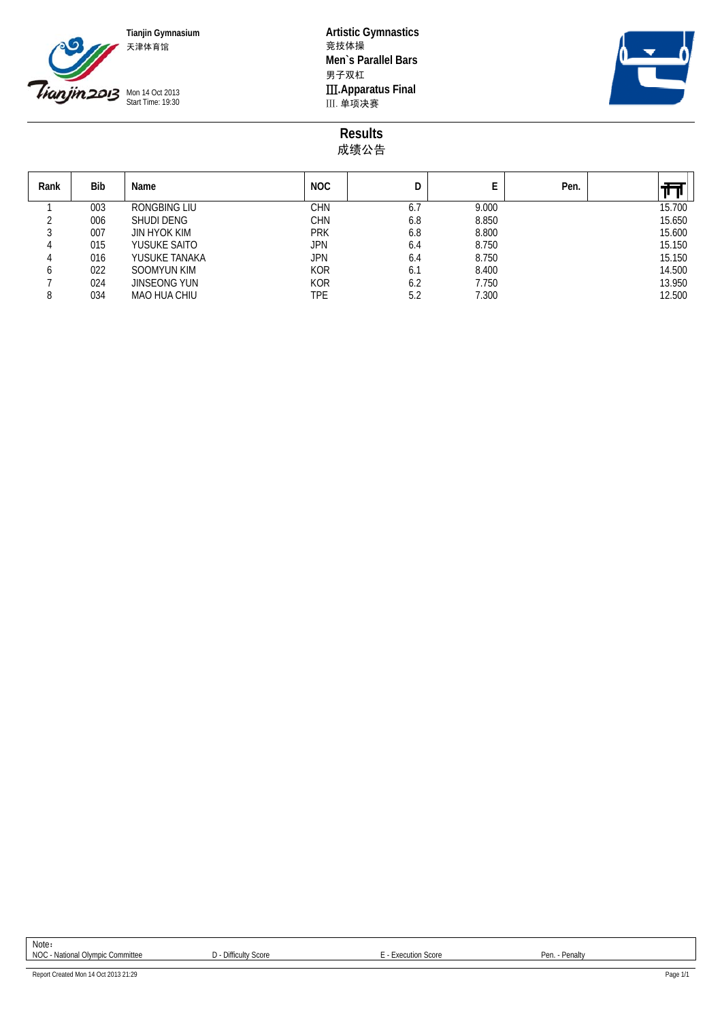

**Tianjin Gymnasium Artistic Gymnastics Men`s Parallel Bars** 男子双杠 **III. Apparatus Final**<br>III. 单项决赛



**Results** 成绩公告

| Rank | Bib | Name                | <b>NOC</b> |     | E     | Pen. |        |
|------|-----|---------------------|------------|-----|-------|------|--------|
|      | 003 | RONGBING LIU        | CHN        | 6.7 | 9.000 |      | 15.700 |
|      | 006 | <b>SHUDI DENG</b>   | CHN        | 6.8 | 8.850 |      | 15.650 |
|      | 007 | JIN HYOK KIM        | <b>PRK</b> | 6.8 | 8.800 |      | 15.600 |
|      | 015 | YUSUKE SAITO        | JPN        | 6.4 | 8.750 |      | 15.150 |
|      | 016 | YUSUKE TANAKA       | <b>JPN</b> | 6.4 | 8.750 |      | 15.150 |
|      | 022 | <b>SOOMYUN KIM</b>  | <b>KOR</b> | 6.1 | 8.400 |      | 14.500 |
|      | 024 | <b>JINSEONG YUN</b> | <b>KOR</b> | 6.2 | 7.750 |      | 13.950 |
| 8    | 034 | <b>MAO HUA CHIU</b> | TPE        | 5.2 | 7.300 |      | 12.500 |

Note: NOC - National Olympic Committee  $D$  - Difficulty Score E - Execution Score Pen. - Penalty

Report Created Mon 14 Oct 2013 21:29 Page 1/1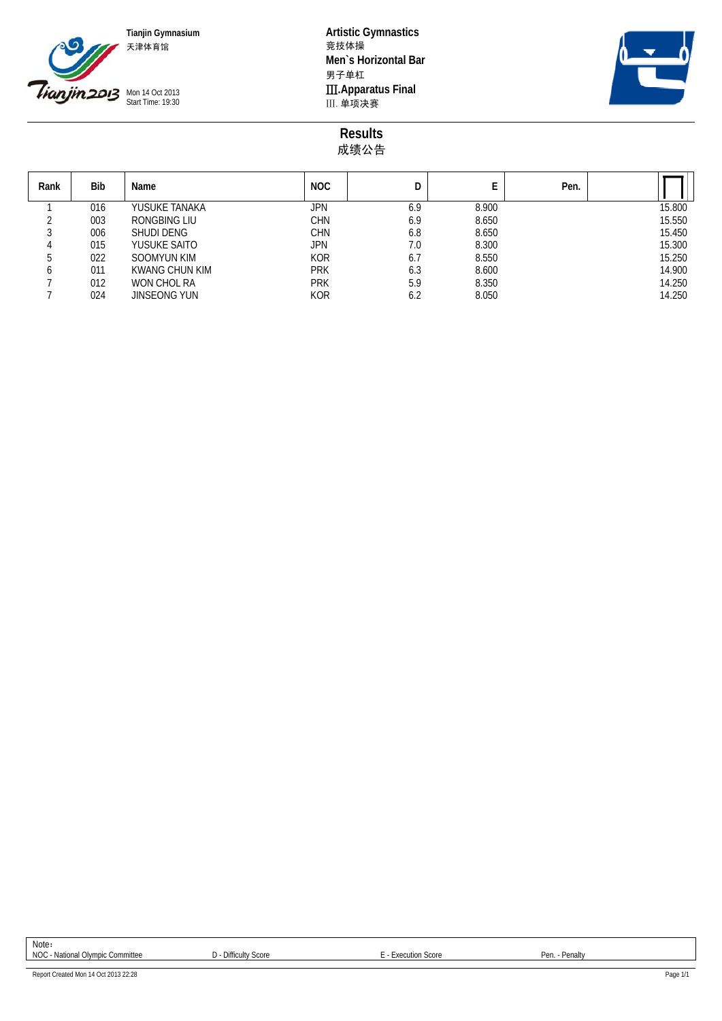

**Tianjin Gymnasium Artistic Gymnastics Men`s Horizontal Bar** 男子单杠 **III. Apparatus Final**<br>III. 单项决赛



**Results** 成绩公告

| Rank | <b>Bib</b> | Name                | <b>NOC</b> | D   | E     | Pen. |        |
|------|------------|---------------------|------------|-----|-------|------|--------|
|      | 016        | YUSUKE TANAKA       | JPN        | 6.9 | 8.900 |      | 15.800 |
|      | 003        | RONGBING LIU        | CHN        | 6.9 | 8.650 |      | 15.550 |
|      | 006        | <b>SHUDI DENG</b>   | CHN        | 6.8 | 8.650 |      | 15.450 |
|      | 015        | YUSUKE SAITO        | JPN        | 7.0 | 8.300 |      | 15.300 |
|      | 022        | SOOMYUN KIM         | <b>KOR</b> | 6.7 | 8.550 |      | 15.250 |
|      | 011        | KWANG CHUN KIM      | <b>PRK</b> | 6.3 | 8.600 |      | 14.900 |
|      | 012        | WON CHOL RA         | <b>PRK</b> | 5.9 | 8.350 |      | 14.250 |
|      | 024        | <b>JINSEONG YUN</b> | <b>KOR</b> | 6.2 | 8.050 |      | 14.250 |

Note: NOC - National Olympic Committee  $D$  - Difficulty Score E - Execution Score Pen. - Penalty

Report Created Mon 14 Oct 2013 22:28 Page 1/1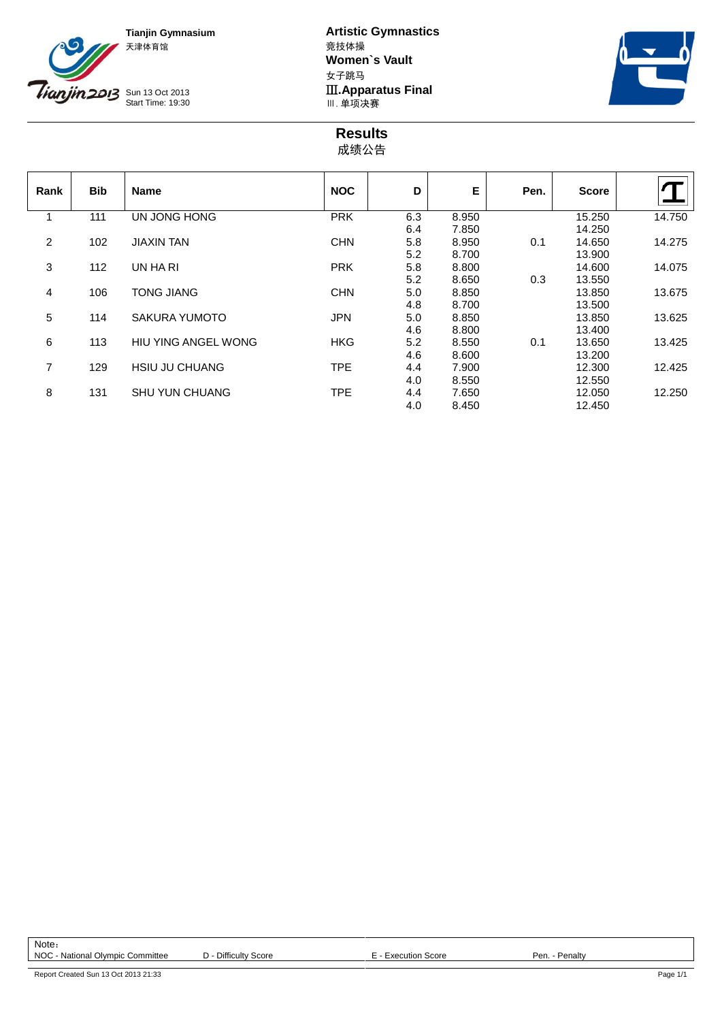



**Tianjin Gymnasium Artistic Gymnastics Women`s Vault** 女子跳马 **III.Apparatus Final**<br>Ⅲ. 单项决赛



**Results** 成绩公告

| Rank | <b>Bib</b> | <b>Name</b>                | <b>NOC</b> | D   | Е     | Pen. | <b>Score</b> |        |
|------|------------|----------------------------|------------|-----|-------|------|--------------|--------|
|      | 111        | UN JONG HONG               | <b>PRK</b> | 6.3 | 8.950 |      | 15.250       | 14.750 |
|      |            |                            |            | 6.4 | 7.850 |      | 14.250       |        |
| 2    | 102        | <b>JIAXIN TAN</b>          | <b>CHN</b> | 5.8 | 8.950 | 0.1  | 14.650       | 14.275 |
|      |            |                            |            | 5.2 | 8.700 |      | 13.900       |        |
| 3    | 112        | UN HA RI                   | <b>PRK</b> | 5.8 | 8.800 |      | 14.600       | 14.075 |
|      |            |                            |            | 5.2 | 8.650 | 0.3  | 13.550       |        |
| 4    | 106        | <b>TONG JIANG</b>          | <b>CHN</b> | 5.0 | 8.850 |      | 13.850       | 13.675 |
|      |            |                            |            | 4.8 | 8.700 |      | 13.500       |        |
| 5    | 114        | SAKURA YUMOTO              | <b>JPN</b> | 5.0 | 8.850 |      | 13.850       | 13.625 |
|      |            |                            |            | 4.6 | 8.800 |      | 13.400       |        |
| 6    | 113        | <b>HIU YING ANGEL WONG</b> | <b>HKG</b> | 5.2 | 8.550 | 0.1  | 13.650       | 13.425 |
|      |            |                            |            | 4.6 | 8.600 |      | 13.200       |        |
| 7    | 129        | <b>HSIU JU CHUANG</b>      | <b>TPE</b> | 4.4 | 7.900 |      | 12.300       | 12.425 |
|      |            |                            |            | 4.0 | 8.550 |      | 12.550       |        |
| 8    | 131        | <b>SHU YUN CHUANG</b>      | <b>TPE</b> | 4.4 | 7.650 |      | 12.050       | 12.250 |
|      |            |                            |            | 4.0 | 8.450 |      | 12.450       |        |

Report Created Sun 13 Oct 2013 21:33 Page 1/1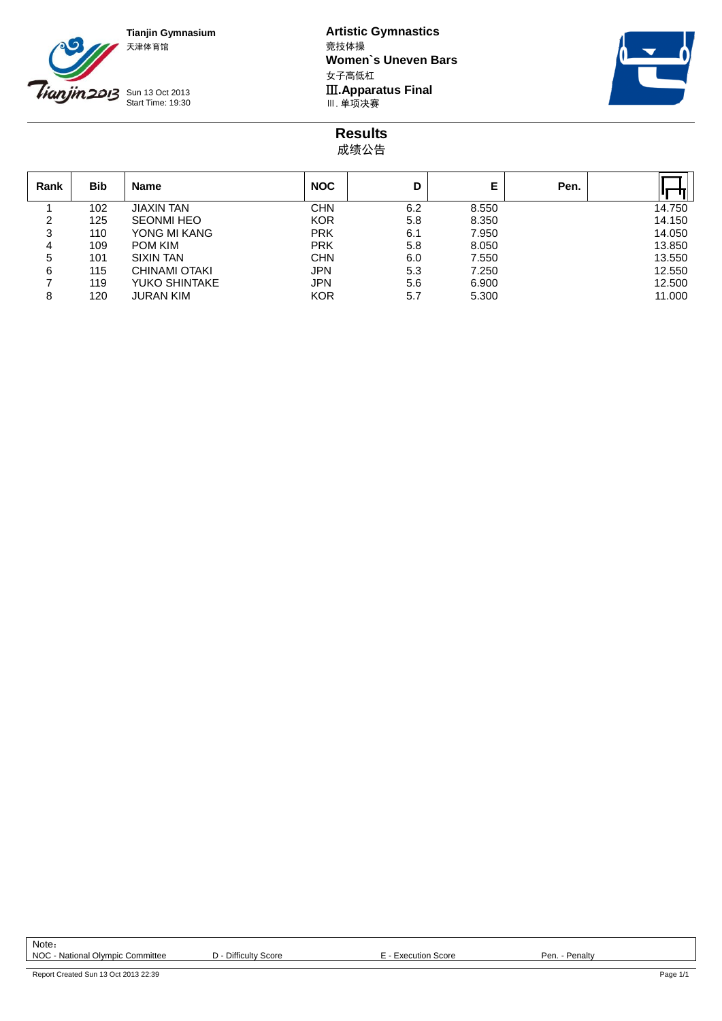

**Tianjin Gymnasium Artistic Gymnastics Women`s Uneven Bars** 女子高低杠 **III.Apparatus Final**<br>Ⅲ. 单项决赛



**Results** 成绩公告

| Rank | <b>Bib</b> | <b>Name</b>       | <b>NOC</b> | D   | Е     | Pen. |        |
|------|------------|-------------------|------------|-----|-------|------|--------|
|      | 102        | <b>JIAXIN TAN</b> | CHN        | 6.2 | 8.550 |      | 14.750 |
| 2    | 125        | <b>SEONMI HEO</b> | <b>KOR</b> | 5.8 | 8.350 |      | 14.150 |
| 3    | 110        | YONG MI KANG      | <b>PRK</b> | 6.1 | 7.950 |      | 14.050 |
| 4    | 109        | <b>POM KIM</b>    | <b>PRK</b> | 5.8 | 8.050 |      | 13.850 |
| 5    | 101        | <b>SIXIN TAN</b>  | <b>CHN</b> | 6.0 | 7.550 |      | 13.550 |
| 6    | 115        | CHINAMI OTAKI     | <b>JPN</b> | 5.3 | 7.250 |      | 12.550 |
|      | 119        | YUKO SHINTAKE     | <b>JPN</b> | 5.6 | 6.900 |      | 12.500 |
| 8    | 120        | <b>JURAN KIM</b>  | <b>KOR</b> | 5.7 | 5.300 |      | 11.000 |

Note: NOC - National Olympic Committee  $D$  - Difficulty Score E - Execution Score Pen. - Penalty

Report Created Sun 13 Oct 2013 22:39 Page 1/1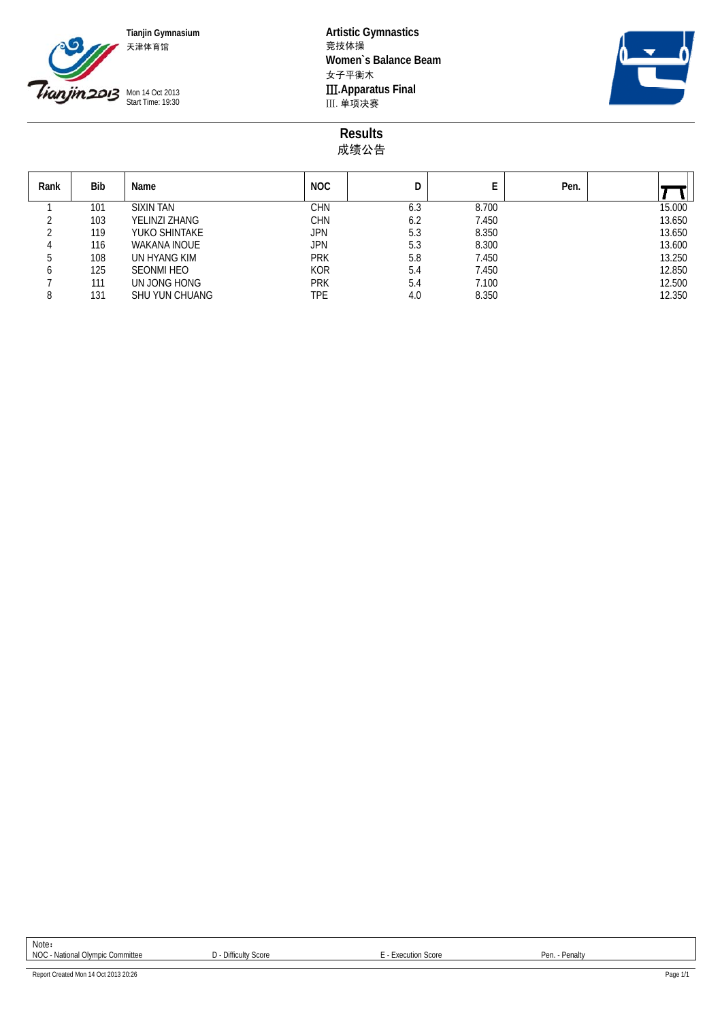

**Tianjin Gymnasium Artistic Gymnastics Women`s Balance Beam** 女子平衡木 **III. Apparatus Final**<br>III. 单项决赛



**Results** 成绩公告

| Rank | Bib | Name                  | <b>NOC</b> | D   |       | Pen. |        |
|------|-----|-----------------------|------------|-----|-------|------|--------|
|      | 101 | <b>SIXIN TAN</b>      | <b>CHN</b> | 6.3 | 8.700 |      | 15.000 |
|      | 103 | YELINZI ZHANG         | <b>CHN</b> | 6.2 | 7.450 |      | 13.650 |
|      | 119 | YUKO SHINTAKE         | JPN        | 5.3 | 8.350 |      | 13.650 |
|      | 116 | WAKANA INOUE          | <b>JPN</b> | 5.3 | 8.300 |      | 13.600 |
|      | 108 | UN HYANG KIM          | <b>PRK</b> | 5.8 | 7.450 |      | 13.250 |
|      | 125 | <b>SEONMI HEO</b>     | <b>KOR</b> | 5.4 | 7.450 |      | 12.850 |
|      | 111 | UN JONG HONG          | <b>PRK</b> | 5.4 | 7.100 |      | 12.500 |
|      | 131 | <b>SHU YUN CHUANG</b> | TPE        | 4.0 | 8.350 |      | 12.350 |

Note: NOC - National Olympic Committee **D** - Difficulty Score **E** - Execution Score **E** - Execution Score Pen. - Penalty

Report Created Mon 14 Oct 2013 20:26 Page 1/1